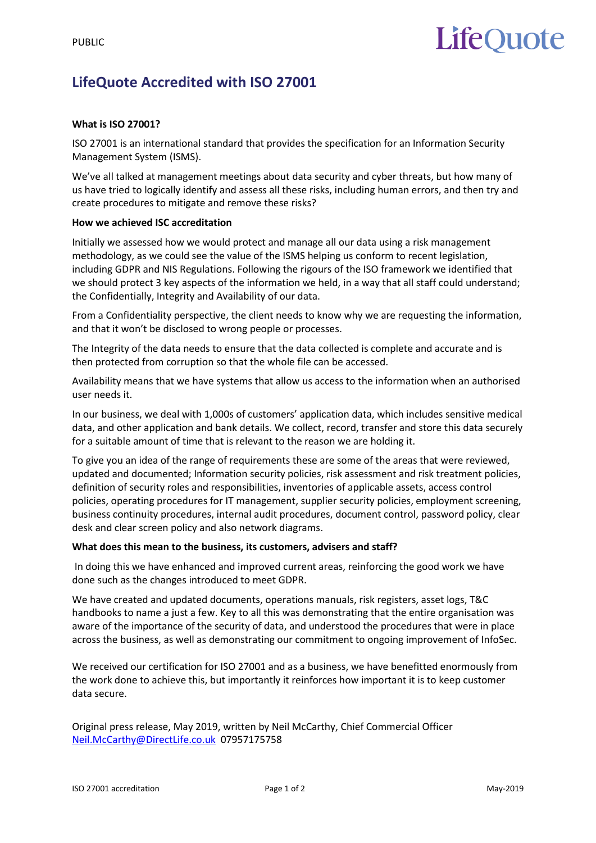# **LifeOuote**

## **LifeQuote Accredited with ISO 27001**

### **What is ISO 27001?**

ISO 27001 is an international standard that provides the specification for an Information Security Management System (ISMS).

We've all talked at management meetings about data security and cyber threats, but how many of us have tried to logically identify and assess all these risks, including human errors, and then try and create procedures to mitigate and remove these risks?

### **How we achieved ISC accreditation**

Initially we assessed how we would protect and manage all our data using a risk management methodology, as we could see the value of the ISMS helping us conform to recent legislation, including GDPR and NIS Regulations. Following the rigours of the ISO framework we identified that we should protect 3 key aspects of the information we held, in a way that all staff could understand; the Confidentially, Integrity and Availability of our data.

From a Confidentiality perspective, the client needs to know why we are requesting the information, and that it won't be disclosed to wrong people or processes.

The Integrity of the data needs to ensure that the data collected is complete and accurate and is then protected from corruption so that the whole file can be accessed.

Availability means that we have systems that allow us access to the information when an authorised user needs it.

In our business, we deal with 1,000s of customers' application data, which includes sensitive medical data, and other application and bank details. We collect, record, transfer and store this data securely for a suitable amount of time that is relevant to the reason we are holding it.

To give you an idea of the range of requirements these are some of the areas that were reviewed, updated and documented; Information security policies, risk assessment and risk treatment policies, definition of security roles and responsibilities, inventories of applicable assets, access control policies, operating procedures for IT management, supplier security policies, employment screening, business continuity procedures, internal audit procedures, document control, password policy, clear desk and clear screen policy and also network diagrams.

### **What does this mean to the business, its customers, advisers and staff?**

In doing this we have enhanced and improved current areas, reinforcing the good work we have done such as the changes introduced to meet GDPR.

We have created and updated documents, operations manuals, risk registers, asset logs, T&C handbooks to name a just a few. Key to all this was demonstrating that the entire organisation was aware of the importance of the security of data, and understood the procedures that were in place across the business, as well as demonstrating our commitment to ongoing improvement of InfoSec.

We received our certification for ISO 27001 and as a business, we have benefitted enormously from the work done to achieve this, but importantly it reinforces how important it is to keep customer data secure.

Original press release, May 2019, written by Neil McCarthy, Chief Commercial Officer [Neil.McCarthy@DirectLife.co.uk](mailto:Neil.McCarthy@DirectLife.co.uk) 07957175758